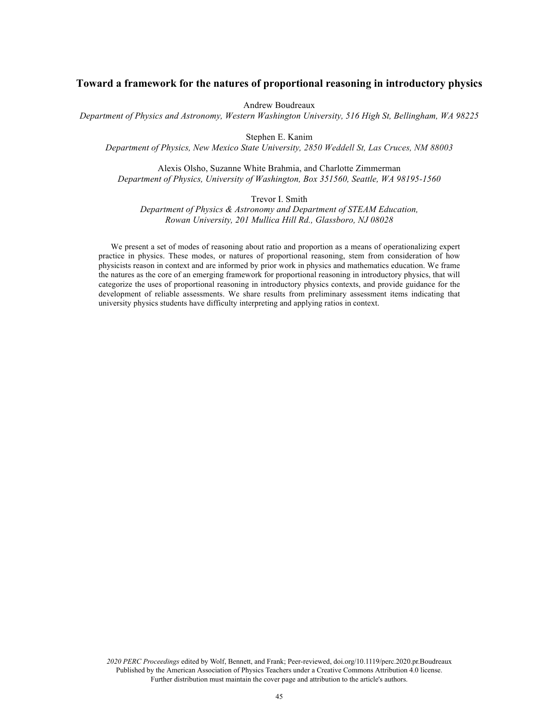# **Toward a framework for the natures of proportional reasoning in introductory physics**

Andrew Boudreaux

*Department of Physics and Astronomy, Western Washington University, 516 High St, Bellingham, WA 98225*

Stephen E. Kanim

*Department of Physics, New Mexico State University, 2850 Weddell St, Las Cruces, NM 88003*

Alexis Olsho, Suzanne White Brahmia, and Charlotte Zimmerman *Department of Physics, University of Washington, Box 351560, Seattle, WA 98195-1560*

Trevor I. Smith

*Department of Physics & Astronomy and Department of STEAM Education, Rowan University, 201 Mullica Hill Rd., Glassboro, NJ 08028*

We present a set of modes of reasoning about ratio and proportion as a means of operationalizing expert practice in physics. These modes, or natures of proportional reasoning, stem from consideration of how physicists reason in context and are informed by prior work in physics and mathematics education. We frame the natures as the core of an emerging framework for proportional reasoning in introductory physics, that will categorize the uses of proportional reasoning in introductory physics contexts, and provide guidance for the development of reliable assessments. We share results from preliminary assessment items indicating that university physics students have difficulty interpreting and applying ratios in context.

*2020 PERC Proceedings* edited by Wolf, Bennett, and Frank; Peer-reviewed, doi.org/10.1119/perc.2020.pr.Boudreaux Published by the American Association of Physics Teachers under a Creative Commons Attribution 4.0 license. Further distribution must maintain the cover page and attribution to the article's authors.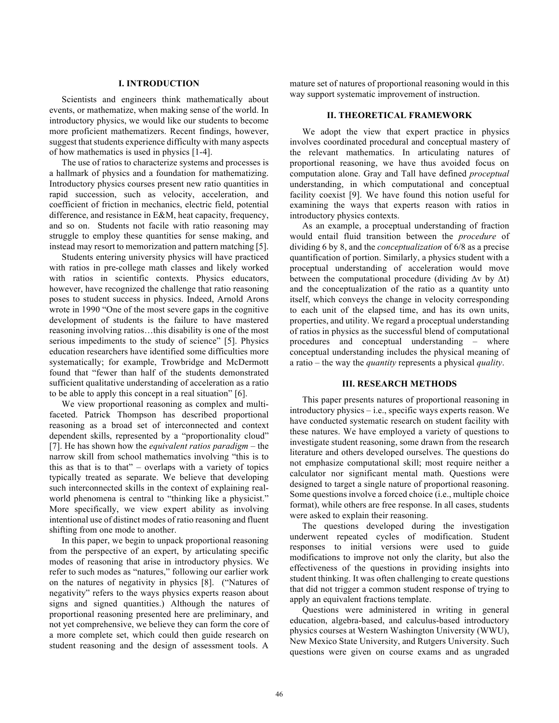### **I. INTRODUCTION**

Scientists and engineers think mathematically about events, or mathematize, when making sense of the world. In introductory physics, we would like our students to become more proficient mathematizers. Recent findings, however, suggest that students experience difficulty with many aspects of how mathematics is used in physics [1-4].

The use of ratios to characterize systems and processes is a hallmark of physics and a foundation for mathematizing. Introductory physics courses present new ratio quantities in rapid succession, such as velocity, acceleration, and coefficient of friction in mechanics, electric field, potential difference, and resistance in E&M, heat capacity, frequency, and so on. Students not facile with ratio reasoning may struggle to employ these quantities for sense making, and instead may resort to memorization and pattern matching [5].

Students entering university physics will have practiced with ratios in pre-college math classes and likely worked with ratios in scientific contexts. Physics educators, however, have recognized the challenge that ratio reasoning poses to student success in physics. Indeed, Arnold Arons wrote in 1990 "One of the most severe gaps in the cognitive development of students is the failure to have mastered reasoning involving ratios…this disability is one of the most serious impediments to the study of science" [5]. Physics education researchers have identified some difficulties more systematically; for example, Trowbridge and McDermott found that "fewer than half of the students demonstrated sufficient qualitative understanding of acceleration as a ratio to be able to apply this concept in a real situation" [6].

We view proportional reasoning as complex and multifaceted. Patrick Thompson has described proportional reasoning as a broad set of interconnected and context dependent skills, represented by a "proportionality cloud" [7]. He has shown how the *equivalent ratios paradigm* – the narrow skill from school mathematics involving "this is to this as that is to that" – overlaps with a variety of topics typically treated as separate. We believe that developing such interconnected skills in the context of explaining realworld phenomena is central to "thinking like a physicist." More specifically, we view expert ability as involving intentional use of distinct modes of ratio reasoning and fluent shifting from one mode to another.

In this paper, we begin to unpack proportional reasoning from the perspective of an expert, by articulating specific modes of reasoning that arise in introductory physics. We refer to such modes as "natures," following our earlier work on the natures of negativity in physics [8]. ("Natures of negativity" refers to the ways physics experts reason about signs and signed quantities.) Although the natures of proportional reasoning presented here are preliminary, and not yet comprehensive, we believe they can form the core of a more complete set, which could then guide research on student reasoning and the design of assessment tools. A

mature set of natures of proportional reasoning would in this way support systematic improvement of instruction.

## **II. THEORETICAL FRAMEWORK**

We adopt the view that expert practice in physics involves coordinated procedural and conceptual mastery of the relevant mathematics. In articulating natures of proportional reasoning, we have thus avoided focus on computation alone. Gray and Tall have defined *proceptual* understanding, in which computational and conceptual facility coexist [9]. We have found this notion useful for examining the ways that experts reason with ratios in introductory physics contexts.

As an example, a proceptual understanding of fraction would entail fluid transition between the *procedure* of dividing 6 by 8, and the *conceptualization* of 6/8 as a precise quantification of portion. Similarly, a physics student with a proceptual understanding of acceleration would move between the computational procedure (dividing ∆v by ∆t) and the conceptualization of the ratio as a quantity unto itself, which conveys the change in velocity corresponding to each unit of the elapsed time, and has its own units, properties, and utility. We regard a proceptual understanding of ratios in physics as the successful blend of computational procedures and conceptual understanding – where conceptual understanding includes the physical meaning of a ratio – the way the *quantity* represents a physical *quality*.

## **III. RESEARCH METHODS**

This paper presents natures of proportional reasoning in introductory physics – i.e., specific ways experts reason. We have conducted systematic research on student facility with these natures. We have employed a variety of questions to investigate student reasoning, some drawn from the research literature and others developed ourselves. The questions do not emphasize computational skill; most require neither a calculator nor significant mental math. Questions were designed to target a single nature of proportional reasoning. Some questions involve a forced choice (i.e., multiple choice format), while others are free response. In all cases, students were asked to explain their reasoning.

The questions developed during the investigation underwent repeated cycles of modification. Student responses to initial versions were used to guide modifications to improve not only the clarity, but also the effectiveness of the questions in providing insights into student thinking. It was often challenging to create questions that did not trigger a common student response of trying to apply an equivalent fractions template.

Questions were administered in writing in general education, algebra-based, and calculus-based introductory physics courses at Western Washington University (WWU), New Mexico State University, and Rutgers University. Such questions were given on course exams and as ungraded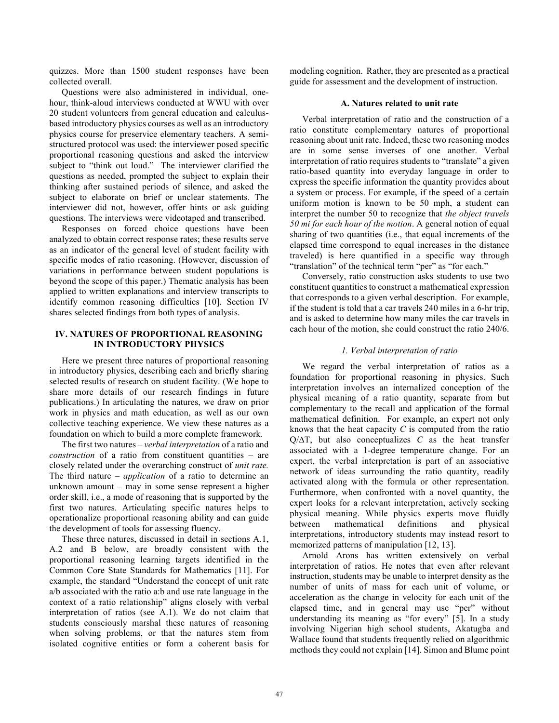quizzes. More than 1500 student responses have been collected overall.

Questions were also administered in individual, onehour, think-aloud interviews conducted at WWU with over 20 student volunteers from general education and calculusbased introductory physics courses as well as an introductory physics course for preservice elementary teachers. A semistructured protocol was used: the interviewer posed specific proportional reasoning questions and asked the interview subject to "think out loud." The interviewer clarified the questions as needed, prompted the subject to explain their thinking after sustained periods of silence, and asked the subject to elaborate on brief or unclear statements. The interviewer did not, however, offer hints or ask guiding questions. The interviews were videotaped and transcribed.

Responses on forced choice questions have been analyzed to obtain correct response rates; these results serve as an indicator of the general level of student facility with specific modes of ratio reasoning. (However, discussion of variations in performance between student populations is beyond the scope of this paper.) Thematic analysis has been applied to written explanations and interview transcripts to identify common reasoning difficulties [10]. Section IV shares selected findings from both types of analysis.

# **IV. NATURES OF PROPORTIONAL REASONING IN INTRODUCTORY PHYSICS**

Here we present three natures of proportional reasoning in introductory physics, describing each and briefly sharing selected results of research on student facility. (We hope to share more details of our research findings in future publications.) In articulating the natures, we draw on prior work in physics and math education, as well as our own collective teaching experience. We view these natures as a foundation on which to build a more complete framework.

The first two natures – *verbal interpretation* of a ratio and *construction* of a ratio from constituent quantities – are closely related under the overarching construct of *unit rate.* The third nature – *application* of a ratio to determine an unknown amount – may in some sense represent a higher order skill, i.e., a mode of reasoning that is supported by the first two natures. Articulating specific natures helps to operationalize proportional reasoning ability and can guide the development of tools for assessing fluency.

These three natures, discussed in detail in sections A.1, A.2 and B below, are broadly consistent with the proportional reasoning learning targets identified in the Common Core State Standards for Mathematics [11]. For example, the standard "Understand the concept of unit rate a/b associated with the ratio a:b and use rate language in the context of a ratio relationship" aligns closely with verbal interpretation of ratios (see A.1). We do not claim that students consciously marshal these natures of reasoning when solving problems, or that the natures stem from isolated cognitive entities or form a coherent basis for modeling cognition. Rather, they are presented as a practical guide for assessment and the development of instruction.

#### **A. Natures related to unit rate**

Verbal interpretation of ratio and the construction of a ratio constitute complementary natures of proportional reasoning about unit rate. Indeed, these two reasoning modes are in some sense inverses of one another. Verbal interpretation of ratio requires students to "translate" a given ratio-based quantity into everyday language in order to express the specific information the quantity provides about a system or process. For example, if the speed of a certain uniform motion is known to be 50 mph, a student can interpret the number 50 to recognize that *the object travels 50 mi for each hour of the motion*. A general notion of equal sharing of two quantities (i.e., that equal increments of the elapsed time correspond to equal increases in the distance traveled) is here quantified in a specific way through "translation" of the technical term "per" as "for each."

Conversely, ratio construction asks students to use two constituent quantities to construct a mathematical expression that corresponds to a given verbal description. For example, if the student is told that a car travels 240 miles in a 6-hr trip, and is asked to determine how many miles the car travels in each hour of the motion, she could construct the ratio 240/6.

## *1. Verbal interpretation of ratio*

We regard the verbal interpretation of ratios as a foundation for proportional reasoning in physics. Such interpretation involves an internalized conception of the physical meaning of a ratio quantity, separate from but complementary to the recall and application of the formal mathematical definition. For example, an expert not only knows that the heat capacity *C* is computed from the ratio Q/∆T, but also conceptualizes *C* as the heat transfer associated with a 1-degree temperature change. For an expert, the verbal interpretation is part of an associative network of ideas surrounding the ratio quantity, readily activated along with the formula or other representation. Furthermore, when confronted with a novel quantity, the expert looks for a relevant interpretation, actively seeking physical meaning. While physics experts move fluidly between mathematical definitions and physical interpretations, introductory students may instead resort to memorized patterns of manipulation [12, 13].

Arnold Arons has written extensively on verbal interpretation of ratios. He notes that even after relevant instruction, students may be unable to interpret density as the number of units of mass for each unit of volume, or acceleration as the change in velocity for each unit of the elapsed time, and in general may use "per" without understanding its meaning as "for every" [5]. In a study involving Nigerian high school students, Akatugba and Wallace found that students frequently relied on algorithmic methods they could not explain [14]. Simon and Blume point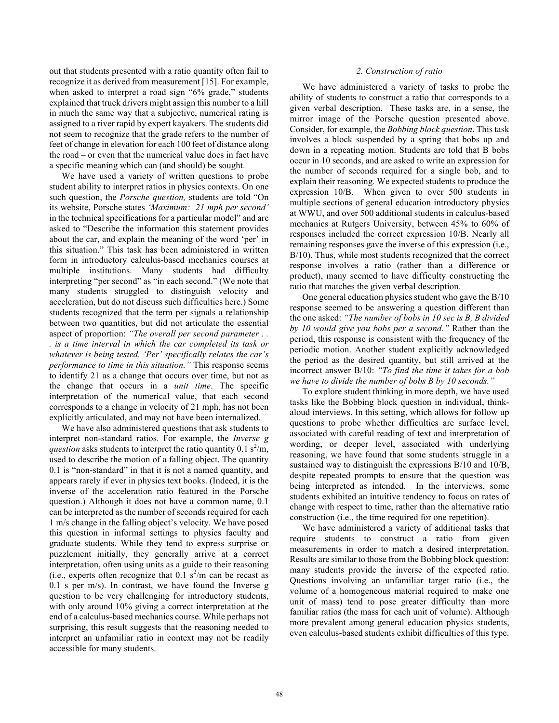out that students presented with a ratio quantity often fail to recognize it as derived from measurement [15]. For example, when asked to interpret a road sign "6% grade," students explained that truck drivers might assign this number to a hill in much the same way that a subjective, numerical rating is assigned to a river rapid by expert kayakers. The students did not seem to recognize that the grade refers to the number of feet of change in elevation for each 100 feet of distance along the road – or even that the numerical value does in fact have a specific meaning which can (and should) be sought.

We have used a variety of written questions to probe student ability to interpret ratios in physics contexts. On one such question, the *Porsche question,* students are told "On its website, Porsche states *'Maximum: 21 mph per second'* in the technical specifications for a particular model" and are asked to "Describe the information this statement provides about the car, and explain the meaning of the word 'per' in this situation." This task has been administered in written form in introductory calculus-based mechanics courses at multiple institutions. Many students had difficulty interpreting "per second" as "in each second." (We note that many students struggled to distinguish velocity and acceleration, but do not discuss such difficulties here.) Some students recognized that the term per signals a relationship between two quantities, but did not articulate the essential aspect of proportion: *"The overall per second parameter . .* 

*. is a time interval in which the car completed its task or whatever is being tested. 'Per' specifically relates the car's performance to time in this situation."* This response seems to identify 21 as a change that occurs over time, but not as the change that occurs in a *unit time*. The specific interpretation of the numerical value, that each second corresponds to a change in velocity of 21 mph, has not been explicitly articulated, and may not have been internalized.

We have also administered questions that ask students to interpret non-standard ratios. For example, the *Inverse g* question asks students to interpret the ratio quantity  $0.1 \text{ s}^2/\text{m}$ , used to describe the motion of a falling object. The quantity 0.1 is "non-standard" in that it is not a named quantity, and appears rarely if ever in physics text books. (Indeed, it is the inverse of the acceleration ratio featured in the Porsche question.) Although it does not have a common name, 0.1 can be interpreted as the number of seconds required for each 1 m/s change in the falling object's velocity. We have posed this question in informal settings to physics faculty and graduate students. While they tend to express surprise or puzzlement initially, they generally arrive at a correct interpretation, often using units as a guide to their reasoning (i.e., experts often recognize that  $0.1 \text{ s}^2/\text{m}$  can be recast as 0.1 s per m/s). In contrast, we have found the Inverse g question to be very challenging for introductory students, with only around 10% giving a correct interpretation at the end of a calculus-based mechanics course. While perhaps not surprising, this result suggests that the reasoning needed to interpret an unfamiliar ratio in context may not be readily accessible for many students.

### *2. Construction of ratio*

We have administered a variety of tasks to probe the ability of students to construct a ratio that corresponds to a given verbal description. These tasks are, in a sense, the mirror image of the Porsche question presented above. Consider, for example, the *Bobbing block question*. This task involves a block suspended by a spring that bobs up and down in a repeating motion. Students are told that B bobs occur in 10 seconds, and are asked to write an expression for the number of seconds required for a single bob, and to explain their reasoning. We expected students to produce the expression 10/B. When given to over 500 students in multiple sections of general education introductory physics at WWU, and over 500 additional students in calculus-based mechanics at Rutgers University, between 45% to 60% of responses included the correct expression 10/B. Nearly all remaining responses gave the inverse of this expression (i.e., B/10). Thus, while most students recognized that the correct response involves a ratio (rather than a difference or product), many seemed to have difficulty constructing the ratio that matches the given verbal description.

One general education physics student who gave the B/10 response seemed to be answering a question different than the one asked: *"The number of bobs in 10 sec is B, B divided by 10 would give you bobs per a second."* Rather than the period, this response is consistent with the frequency of the periodic motion. Another student explicitly acknowledged the period as the desired quantity, but still arrived at the incorrect answer B/10: *"To find the time it takes for a bob we have to divide the number of bobs B by 10 seconds."*

To explore student thinking in more depth, we have used tasks like the Bobbing block question in individual, thinkaloud interviews. In this setting, which allows for follow up questions to probe whether difficulties are surface level, associated with careful reading of text and interpretation of wording, or deeper level, associated with underlying reasoning, we have found that some students struggle in a sustained way to distinguish the expressions B/10 and 10/B, despite repeated prompts to ensure that the question was being interpreted as intended. In the interviews, some students exhibited an intuitive tendency to focus on rates of change with respect to time, rather than the alternative ratio construction (i.e., the time required for one repetition).

We have administered a variety of additional tasks that require students to construct a ratio from given measurements in order to match a desired interpretation. Results are similar to those from the Bobbing block question: many students provide the inverse of the expected ratio. Questions involving an unfamiliar target ratio (i.e., the volume of a homogeneous material required to make one unit of mass) tend to pose greater difficulty than more familiar ratios (the mass for each unit of volume). Although more prevalent among general education physics students, even calculus-based students exhibit difficulties of this type.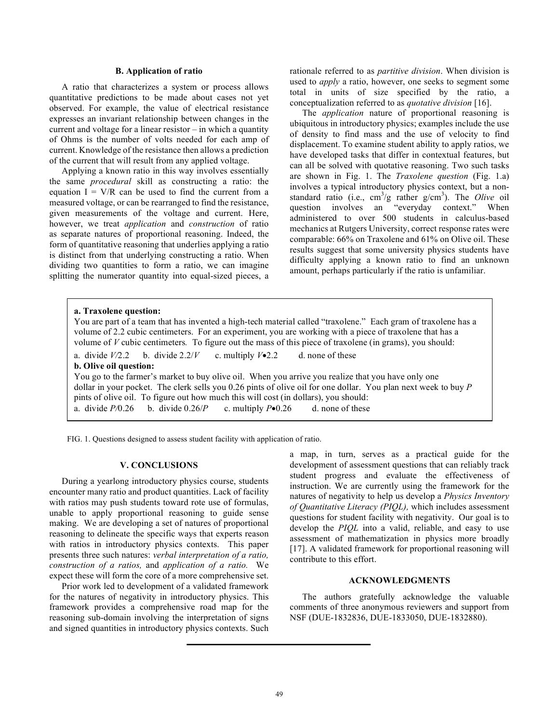#### **B. Application of ratio**

A ratio that characterizes a system or process allows quantitative predictions to be made about cases not yet observed. For example, the value of electrical resistance expresses an invariant relationship between changes in the current and voltage for a linear resistor – in which a quantity of Ohms is the number of volts needed for each amp of current. Knowledge of the resistance then allows a prediction of the current that will result from any applied voltage.

Applying a known ratio in this way involves essentially the same *procedural* skill as constructing a ratio: the equation  $I = V/R$  can be used to find the current from a measured voltage, or can be rearranged to find the resistance, given measurements of the voltage and current. Here, however, we treat *application* and *construction* of ratio as separate natures of proportional reasoning. Indeed, the form of quantitative reasoning that underlies applying a ratio is distinct from that underlying constructing a ratio. When dividing two quantities to form a ratio, we can imagine splitting the numerator quantity into equal-sized pieces, a

rationale referred to as *partitive division*. When division is used to *apply* a ratio, however, one seeks to segment some total in units of size specified by the ratio, a conceptualization referred to as *quotative division* [16].

The *application* nature of proportional reasoning is ubiquitous in introductory physics; examples include the use of density to find mass and the use of velocity to find displacement. To examine student ability to apply ratios, we have developed tasks that differ in contextual features, but can all be solved with quotative reasoning. Two such tasks are shown in Fig. 1. The *Traxolene question* (Fig. 1.a) involves a typical introductory physics context, but a nonstandard ratio (i.e.,  $cm^3/g$  rather  $g/cm^3$ ). The *Olive* oil question involves an "everyday context." When administered to over 500 students in calculus-based mechanics at Rutgers University, correct response rates were comparable: 66% on Traxolene and 61% on Olive oil. These results suggest that some university physics students have difficulty applying a known ratio to find an unknown amount, perhaps particularly if the ratio is unfamiliar.

# **a. Traxolene question:** You are part of a team that has invented a high-tech material called "traxolene." Each gram of traxolene has a volume of 2.2 cubic centimeters. For an experiment, you are working with a piece of traxolene that has a volume of *V* cubic centimeters*.* To figure out the mass of this piece of traxolene (in grams), you should: a. divide  $V/2.2$  b. divide  $2.2/V$  c. multiply  $V\simeq 2.2$  d. none of these **b. Olive oil question:** You go to the farmer's market to buy olive oil. When you arrive you realize that you have only one dollar in your pocket. The clerk sells you 0.26 pints of olive oil for one dollar. You plan next week to buy *P* pints of olive oil. To figure out how much this will cost (in dollars), you should: a. divide  $P/0.26$  b. divide  $0.26/P$  c. multiply  $P\bullet 0.26$  d. none of these

FIG. 1. Questions designed to assess student facility with application of ratio.

#### **V. CONCLUSIONS**

During a yearlong introductory physics course, students encounter many ratio and product quantities. Lack of facility with ratios may push students toward rote use of formulas, unable to apply proportional reasoning to guide sense making. We are developing a set of natures of proportional reasoning to delineate the specific ways that experts reason with ratios in introductory physics contexts. This paper presents three such natures: *verbal interpretation of a ratio, construction of a ratios,* and *application of a ratio.* We expect these will form the core of a more comprehensive set.

Prior work led to development of a validated framework for the natures of negativity in introductory physics. This framework provides a comprehensive road map for the reasoning sub-domain involving the interpretation of signs and signed quantities in introductory physics contexts. Such

a map, in turn, serves as a practical guide for the development of assessment questions that can reliably track student progress and evaluate the effectiveness of instruction. We are currently using the framework for the natures of negativity to help us develop a *Physics Inventory of Quantitative Literacy (PIQL),* which includes assessment questions for student facility with negativity. Our goal is to develop the *PIQL* into a valid, reliable, and easy to use assessment of mathematization in physics more broadly [17]. A validated framework for proportional reasoning will contribute to this effort.

### **ACKNOWLEDGMENTS**

The authors gratefully acknowledge the valuable comments of three anonymous reviewers and support from NSF (DUE-1832836, DUE-1833050, DUE-1832880).